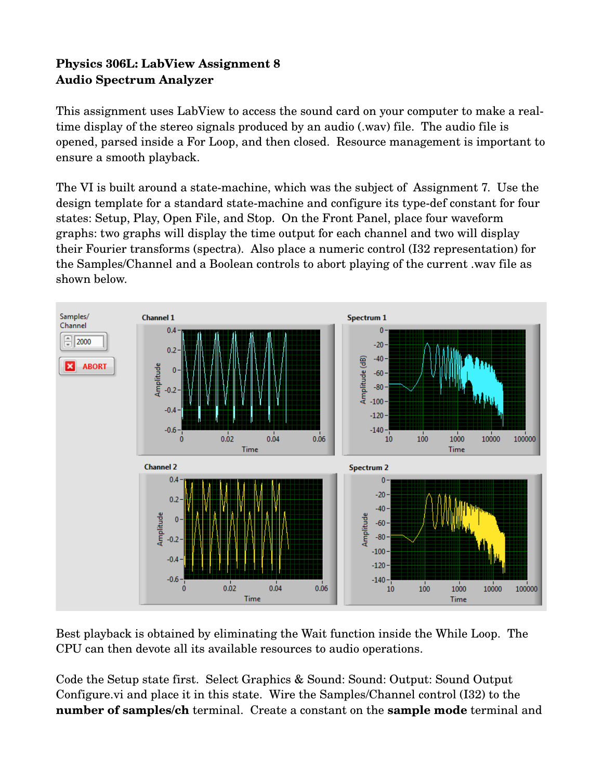## **Physics 306L: LabView Assignment 8 Audio Spectrum Analyzer**

This assignment uses LabView to access the sound card on your computer to make a realtime display of the stereo signals produced by an audio (.wav) file. The audio file is opened, parsed inside a For Loop, and then closed. Resource management is important to ensure a smooth playback.

The VI is built around a state-machine, which was the subject of Assignment 7. Use the design template for a standard state-machine and configure its type-def constant for four states: Setup, Play, Open File, and Stop. On the Front Panel, place four waveform graphs: two graphs will display the time output for each channel and two will display their Fourier transforms (spectra). Also place a numeric control (I32 representation) for the Samples/Channel and a Boolean controls to abort playing of the current .wav file as shown below.



Best playback is obtained by eliminating the Wait function inside the While Loop. The CPU can then devote all its available resources to audio operations.

Code the Setup state first. Select Graphics & Sound: Sound: Output: Sound Output Configure.vi and place it in this state. Wire the Samples/Channel control (I32) to the **number of samples/ch** terminal. Create a constant on the **sample mode** terminal and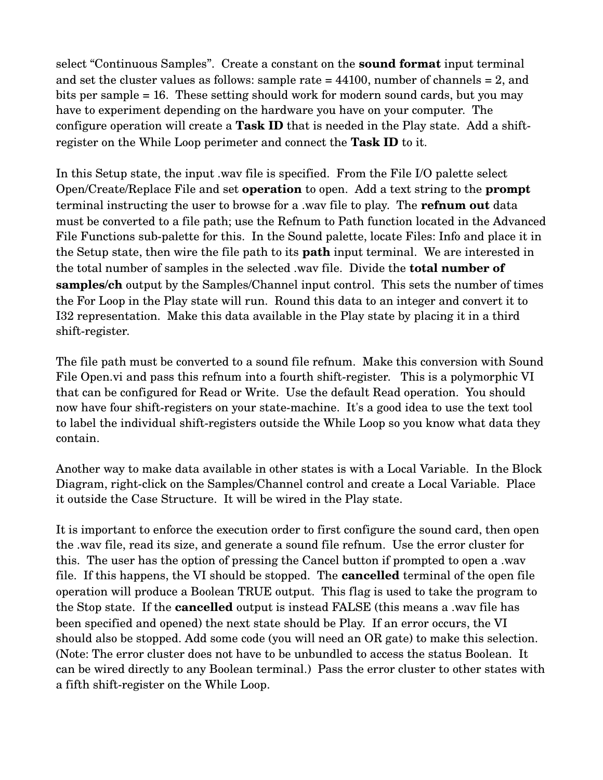select "Continuous Samples". Create a constant on the **sound format** input terminal and set the cluster values as follows: sample rate = 44100, number of channels = 2, and bits per sample = 16. These setting should work for modern sound cards, but you may have to experiment depending on the hardware you have on your computer. The configure operation will create a **Task ID** that is needed in the Play state. Add a shiftregister on the While Loop perimeter and connect the **Task ID** to it.

In this Setup state, the input .wav file is specified. From the File I/O palette select Open/Create/Replace File and set **operation** to open. Add a text string to the **prompt** terminal instructing the user to browse for a .wav file to play. The **refnum out** data must be converted to a file path; use the Refnum to Path function located in the Advanced File Functions sub-palette for this. In the Sound palette, locate Files: Info and place it in the Setup state, then wire the file path to its **path** input terminal. We are interested in the total number of samples in the selected .wav file. Divide the **total number of samples/ch** output by the Samples/Channel input control. This sets the number of times the For Loop in the Play state will run. Round this data to an integer and convert it to I32 representation. Make this data available in the Play state by placing it in a third shift-register.

The file path must be converted to a sound file refnum. Make this conversion with Sound File Open. vi and pass this refnum into a fourth shift-register. This is a polymorphic VI that can be configured for Read or Write. Use the default Read operation. You should now have four shift-registers on your state-machine. It's a good idea to use the text tool to label the individual shift-registers outside the While Loop so you know what data they contain.

Another way to make data available in other states is with a Local Variable. In the Block Diagram, right-click on the Samples/Channel control and create a Local Variable. Place it outside the Case Structure. It will be wired in the Play state.

It is important to enforce the execution order to first configure the sound card, then open the .wav file, read its size, and generate a sound file refnum. Use the error cluster for this. The user has the option of pressing the Cancel button if prompted to open a .wav file. If this happens, the VI should be stopped. The **cancelled** terminal of the open file operation will produce a Boolean TRUE output. This flag is used to take the program to the Stop state. If the **cancelled** output is instead FALSE (this means a .wav file has been specified and opened) the next state should be Play. If an error occurs, the VI should also be stopped. Add some code (you will need an OR gate) to make this selection. (Note: The error cluster does not have to be unbundled to access the status Boolean. It can be wired directly to any Boolean terminal.) Pass the error cluster to other states with a fifth shift-register on the While Loop.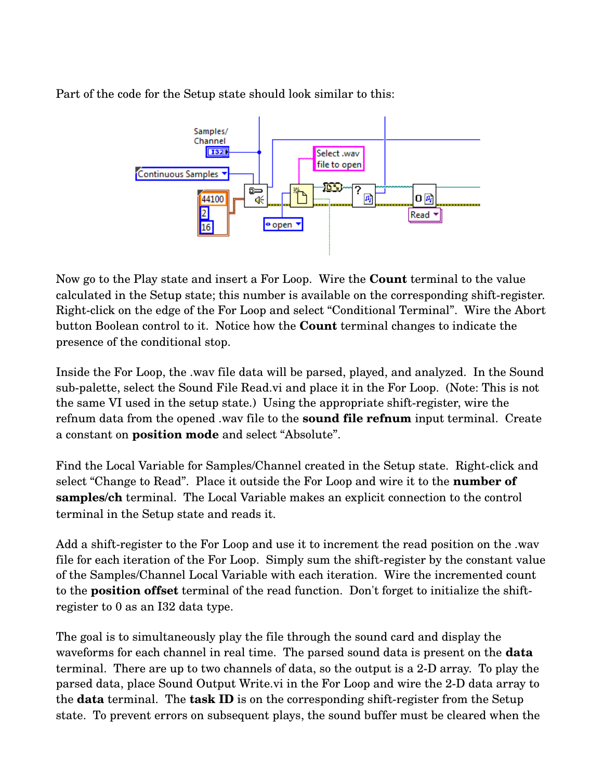Part of the code for the Setup state should look similar to this:



Now go to the Play state and insert a For Loop. Wire the **Count** terminal to the value calculated in the Setup state; this number is available on the corresponding shift-register. Right-click on the edge of the For Loop and select "Conditional Terminal". Wire the Abort button Boolean control to it. Notice how the **Count** terminal changes to indicate the presence of the conditional stop.

Inside the For Loop, the .wav file data will be parsed, played, and analyzed. In the Sound sub-palette, select the Sound File Read.vi and place it in the For Loop. (Note: This is not the same VI used in the setup state.) Using the appropriate shift-register, wire the refnum data from the opened .wav file to the **sound file refnum** input terminal. Create a constant on **position mode** and select "Absolute".

Find the Local Variable for Samples/Channel created in the Setup state. Right-click and select "Change to Read". Place it outside the For Loop and wire it to the **number of samples/ch** terminal. The Local Variable makes an explicit connection to the control terminal in the Setup state and reads it.

Add a shift-register to the For Loop and use it to increment the read position on the .wav file for each iteration of the For Loop. Simply sum the shift-register by the constant value of the Samples/Channel Local Variable with each iteration. Wire the incremented count to the **position offset** terminal of the read function. Don't forget to initialize the shiftregister to 0 as an I32 data type.

The goal is to simultaneously play the file through the sound card and display the waveforms for each channel in real time. The parsed sound data is present on the **data** terminal. There are up to two channels of data, so the output is a 2D array. To play the parsed data, place Sound Output Write.vi in the For Loop and wire the 2D data array to the **data** terminal. The **task ID** is on the corresponding shift-register from the Setup state. To prevent errors on subsequent plays, the sound buffer must be cleared when the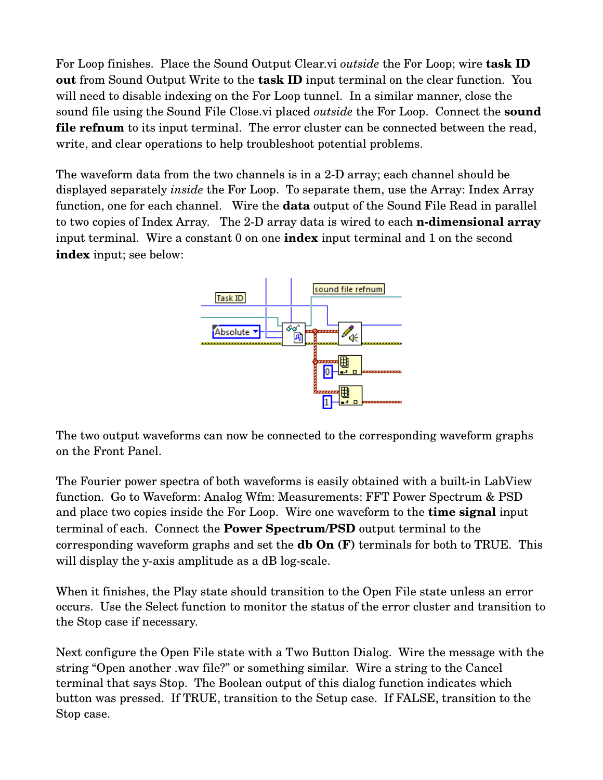For Loop finishes. Place the Sound Output Clear.vi *outside* the For Loop; wire **task ID out** from Sound Output Write to the **task ID** input terminal on the clear function. You will need to disable indexing on the For Loop tunnel. In a similar manner, close the sound file using the Sound File Close.vi placed *outside* the For Loop. Connect the **sound file refnum** to its input terminal. The error cluster can be connected between the read, write, and clear operations to help troubleshoot potential problems.

The waveform data from the two channels is in a 2-D array; each channel should be displayed separately *inside* the For Loop. To separate them, use the Array: Index Array function, one for each channel. Wire the **data** output of the Sound File Read in parallel to two copies of Index Array. The 2-D array data is wired to each **n-dimensional array** input terminal. Wire a constant 0 on one **index** input terminal and 1 on the second **index** input; see below:



The two output waveforms can now be connected to the corresponding waveform graphs on the Front Panel.

The Fourier power spectra of both waveforms is easily obtained with a built-in LabView function. Go to Waveform: Analog Wfm: Measurements: FFT Power Spectrum & PSD and place two copies inside the For Loop. Wire one waveform to the **time signal** input terminal of each. Connect the **Power Spectrum/PSD** output terminal to the corresponding waveform graphs and set the **db On (F)** terminals for both to TRUE. This will display the y-axis amplitude as a dB log-scale.

When it finishes, the Play state should transition to the Open File state unless an error occurs. Use the Select function to monitor the status of the error cluster and transition to the Stop case if necessary.

Next configure the Open File state with a Two Button Dialog. Wire the message with the string "Open another .wav file?" or something similar. Wire a string to the Cancel terminal that says Stop. The Boolean output of this dialog function indicates which button was pressed. If TRUE, transition to the Setup case. If FALSE, transition to the Stop case.